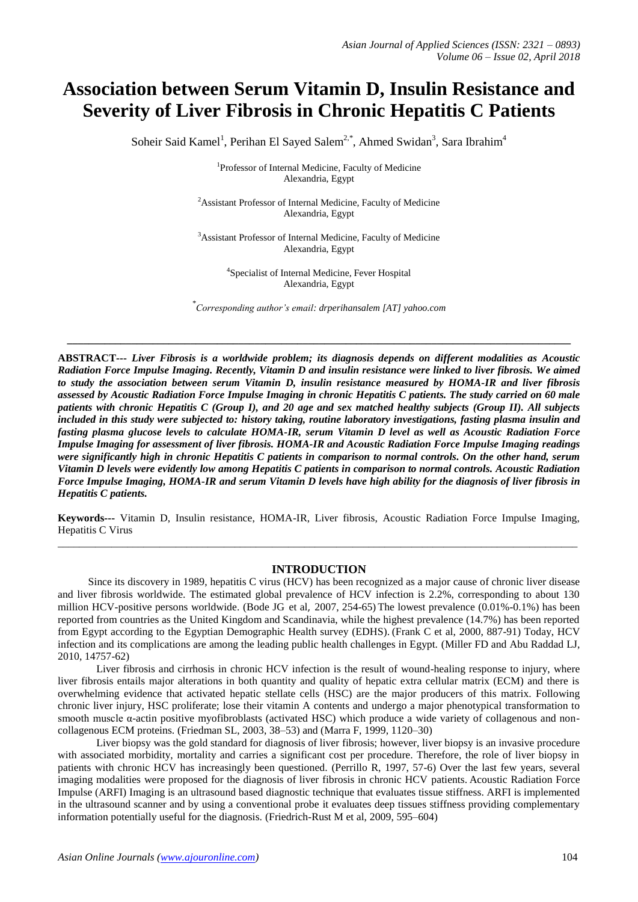# **Association between Serum Vitamin D, Insulin Resistance and Severity of Liver Fibrosis in Chronic Hepatitis C Patients**

Soheir Said Kamel<sup>1</sup>, Perihan El Sayed Salem<sup>2,\*</sup>, Ahmed Swidan<sup>3</sup>, Sara Ibrahim<sup>4</sup>

<sup>1</sup>Professor of Internal Medicine, Faculty of Medicine Alexandria, Egypt

<sup>2</sup>Assistant Professor of Internal Medicine, Faculty of Medicine Alexandria, Egypt

<sup>3</sup>Assistant Professor of Internal Medicine, Faculty of Medicine Alexandria, Egypt

> 4 Specialist of Internal Medicine, Fever Hospital Alexandria, Egypt

*\* Corresponding author's email: drperihansalem [AT] yahoo.com*

**\_\_\_\_\_\_\_\_\_\_\_\_\_\_\_\_\_\_\_\_\_\_\_\_\_\_\_\_\_\_\_\_\_\_\_\_\_\_\_\_\_\_\_\_\_\_\_\_\_\_\_\_\_\_\_\_\_\_\_\_\_\_\_\_\_\_\_\_\_\_\_\_\_\_\_\_\_\_\_\_\_\_\_\_\_\_\_\_\_\_\_\_\_\_**

**ABSTRACT---** *Liver Fibrosis is a worldwide problem; its diagnosis depends on different modalities as Acoustic Radiation Force Impulse Imaging. Recently, Vitamin D and insulin resistance were linked to liver fibrosis. We aimed to study the association between serum Vitamin D, insulin resistance measured by HOMA-IR and liver fibrosis assessed by Acoustic Radiation Force Impulse Imaging in chronic Hepatitis C patients. The study carried on 60 male patients with chronic Hepatitis C (Group I), and 20 age and sex matched healthy subjects (Group II). All subjects included in this study were subjected to: history taking, routine laboratory investigations, fasting plasma insulin and fasting plasma glucose levels to calculate HOMA-IR, serum Vitamin D level as well as Acoustic Radiation Force Impulse Imaging for assessment of liver fibrosis. HOMA-IR and Acoustic Radiation Force Impulse Imaging readings were significantly high in chronic Hepatitis C patients in comparison to normal controls. On the other hand, serum Vitamin D levels were evidently low among Hepatitis C patients in comparison to normal controls. Acoustic Radiation Force Impulse Imaging, HOMA-IR and serum Vitamin D levels have high ability for the diagnosis of liver fibrosis in Hepatitis C patients.*

**Keywords---** Vitamin D, Insulin resistance, HOMA-IR, Liver fibrosis, Acoustic Radiation Force Impulse Imaging, Hepatitis C Virus  $\_$  ,  $\_$  ,  $\_$  ,  $\_$  ,  $\_$  ,  $\_$  ,  $\_$  ,  $\_$  ,  $\_$  ,  $\_$  ,  $\_$  ,  $\_$  ,  $\_$  ,  $\_$  ,  $\_$  ,  $\_$  ,  $\_$  ,  $\_$  ,  $\_$  ,  $\_$  ,  $\_$  ,  $\_$  ,  $\_$  ,  $\_$  ,  $\_$  ,  $\_$  ,  $\_$  ,  $\_$  ,  $\_$  ,  $\_$  ,  $\_$  ,  $\_$  ,  $\_$  ,  $\_$  ,  $\_$  ,  $\_$  ,  $\_$  ,

#### **INTRODUCTION**

Since its discovery in 1989, hepatitis C virus (HCV) has been recognized as a major cause of chronic liver disease and liver fibrosis worldwide. The estimated global prevalence of HCV infection is 2.2%, corresponding to about 130 million HCV-positive persons worldwide. [\(Bode JG](https://www.ncbi.nlm.nih.gov/pubmed/?term=Bode%20JG%5BAuthor%5D&cauthor=true&cauthor_uid=17467654) et al, 2007, 254-65) The lowest prevalence (0.01%-0.1%) has been reported from countries as the United Kingdom and Scandinavia, while the highest prevalence (14.7%) has been reported from Egypt according to the Egyptian Demographic Health survey (EDHS). (Frank C et al, 2000, 887-91) Today, HCV infection and its complications are among the leading public health challenges in Egypt. (Miller FD and Abu Raddad LJ, 2010, 14757-62)

Liver fibrosis and cirrhosis in chronic HCV infection is the result of wound-healing response to injury, where liver fibrosis entails major alterations in both quantity and quality of hepatic extra cellular matrix (ECM) and there is overwhelming evidence that activated hepatic stellate cells (HSC) are the major producers of this matrix. Following chronic liver injury, HSC proliferate; lose their vitamin A contents and undergo a major phenotypical transformation to smooth muscle  $\alpha$ -actin positive myofibroblasts (activated HSC) which produce a wide variety of collagenous and noncollagenous ECM proteins. (Friedman SL, 2003, 38–53) and (Marra F, 1999, 1120–30)

Liver biopsy was the gold standard for diagnosis of liver fibrosis; however, liver biopsy is an invasive procedure with associated morbidity, mortality and carries a significant cost per procedure. Therefore, the role of liver biopsy in patients with chronic HCV has increasingly been questioned. (Perrillo R, 1997, 57-6) Over the last few years, several imaging modalities were proposed for the diagnosis of liver fibrosis in chronic HCV patients. Acoustic Radiation Force Impulse (ARFI) Imaging is an ultrasound based diagnostic technique that evaluates tissue stiffness. ARFI is implemented in the ultrasound scanner and by using a conventional probe it evaluates deep tissues stiffness providing complementary information potentially useful for the diagnosis. (Friedrich-Rust M et al, 2009, 595–604)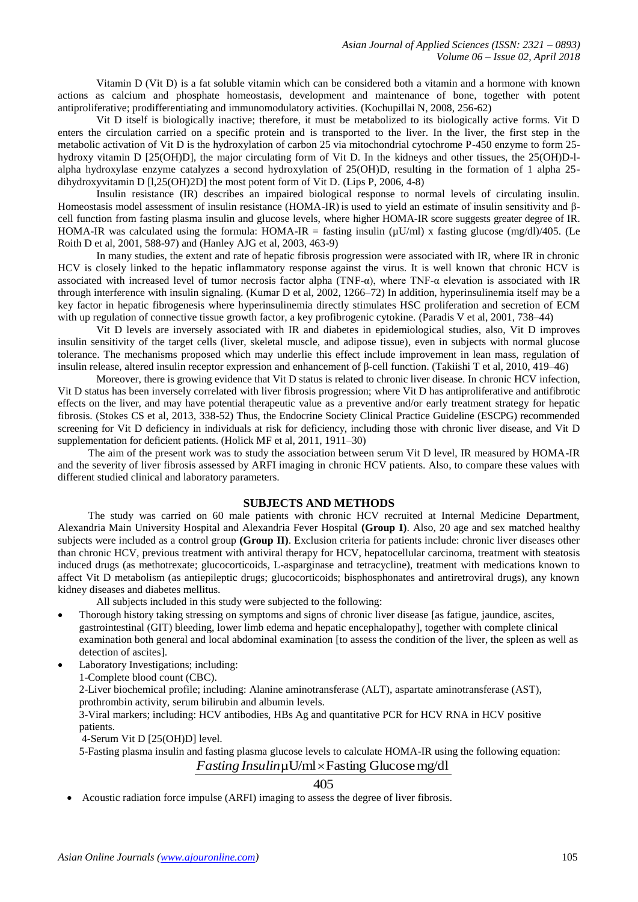Vitamin D (Vit D) is a fat soluble vitamin which can be considered both a vitamin and a hormone with known actions as calcium and phosphate homeostasis, development and maintenance of bone, together with potent antiproliferative; prodifferentiating and immunomodulatory activities. (Kochupillai N, 2008, 256-62)

Vit D itself is biologically inactive; therefore, it must be metabolized to its biologically active forms. Vit D enters the circulation carried on a specific protein and is transported to the liver. In the liver, the first step in the metabolic activation of Vit D is the hydroxylation of carbon 25 via mitochondrial cytochrome P-450 enzyme to form 25 hydroxy vitamin D [25(OH)D], the major circulating form of Vit D. In the kidneys and other tissues, the 25(OH)D-lalpha hydroxylase enzyme catalyzes a second hydroxylation of 25(OH)D, resulting in the formation of 1 alpha 25 dihydroxyvitamin D [l,25(OH)2D] the most potent form of Vit D. (Lips P, 2006, 4-8)

Insulin resistance (IR) describes an impaired biological response to normal levels of circulating insulin. Homeostasis model assessment of insulin resistance (HOMA-IR) is used to yield an estimate of insulin sensitivity and βcell function from fasting plasma insulin and glucose levels, where higher HOMA-IR score suggests greater degree of IR. HOMA-IR was calculated using the formula: HOMA-IR = fasting insulin ( $\mu$ U/ml) x fasting glucose (mg/dl)/405. (Le Roith D et al, 2001, 588-97) and (Hanley AJG et al, 2003, 463-9)

In many studies, the extent and rate of hepatic fibrosis progression were associated with IR, where IR in chronic HCV is closely linked to the hepatic inflammatory response against the virus. It is well known that chronic HCV is associated with increased level of tumor necrosis factor alpha (TNF- $\alpha$ ), where TNF- $\alpha$  elevation is associated with IR through interference with insulin signaling. (Kumar D et al, 2002, 1266–72) In addition, hyperinsulinemia itself may be a key factor in hepatic fibrogenesis where hyperinsulinemia directly stimulates HSC proliferation and secretion of ECM with up regulation of connective tissue growth factor, a key profibrogenic cytokine. (Paradis V et al, 2001, 738–44)

Vit D levels are inversely associated with IR and diabetes in epidemiological studies, also, Vit D improves insulin sensitivity of the target cells (liver, skeletal muscle, and adipose tissue), even in subjects with normal glucose tolerance. The mechanisms proposed which may underlie this effect include improvement in lean mass, regulation of insulin release, altered insulin receptor expression and enhancement of β-cell function. (Takiishi T et al, 2010, 419–46)

Moreover, there is growing evidence that Vit D status is related to chronic liver disease. In chronic HCV infection, Vit D status has been inversely correlated with liver fibrosis progression; where Vit D has antiproliferative and antifibrotic effects on the liver, and may have potential therapeutic value as a preventive and/or early treatment strategy for hepatic fibrosis. (Stokes CS et al, 2013, 338-52) Thus, the Endocrine Society Clinical Practice Guideline (ESCPG) recommended screening for Vit D deficiency in individuals at risk for deficiency, including those with chronic liver disease, and Vit D supplementation for deficient patients. (Holick MF et al, 2011, 1911–30)

The aim of the present work was to study the association between serum Vit D level, IR measured by HOMA-IR and the severity of liver fibrosis assessed by ARFI imaging in chronic HCV patients. Also, to compare these values with different studied clinical and laboratory parameters.

#### **SUBJECTS AND METHODS**

The study was carried on 60 male patients with chronic HCV recruited at Internal Medicine Department, Alexandria Main University Hospital and Alexandria Fever Hospital **(Group I)**. Also, 20 age and sex matched healthy subjects were included as a control group **(Group II)**. Exclusion criteria for patients include: chronic liver diseases other than chronic HCV, previous treatment with antiviral therapy for HCV, hepatocellular carcinoma, treatment with steatosis induced drugs (as methotrexate; glucocorticoids, L-asparginase and tetracycline), treatment with medications known to affect Vit D metabolism (as antiepileptic drugs; glucocorticoids; bisphosphonates and antiretroviral drugs), any known kidney diseases and diabetes mellitus.

All subjects included in this study were subjected to the following:

- Thorough history taking stressing on symptoms and signs of chronic liver disease [as fatigue, jaundice, ascites, gastrointestinal (GIT) bleeding, lower limb edema and hepatic encephalopathy], together with complete clinical examination both general and local abdominal examination [to assess the condition of the liver, the spleen as well as detection of ascites].
- Laboratory Investigations; including: 1-Complete blood count (CBC). 2-Liver biochemical profile; including: Alanine aminotransferase (ALT), aspartate aminotransferase (AST), prothrombin activity, serum bilirubin and albumin levels. 3-Viral markers; including: HCV antibodies, HBs Ag and quantitative PCR for HCV RNA in HCV positive patients.

4-Serum Vit D [25(OH)D] level.

5-Fasting plasma insulin and fasting plasma glucose levels to calculate HOMA-IR using the following equation:

## *Fasting Insulin*µU/ml×Fasting Glucose mg/dl

## 405

Acoustic radiation force impulse (ARFI) imaging to assess the degree of liver fibrosis.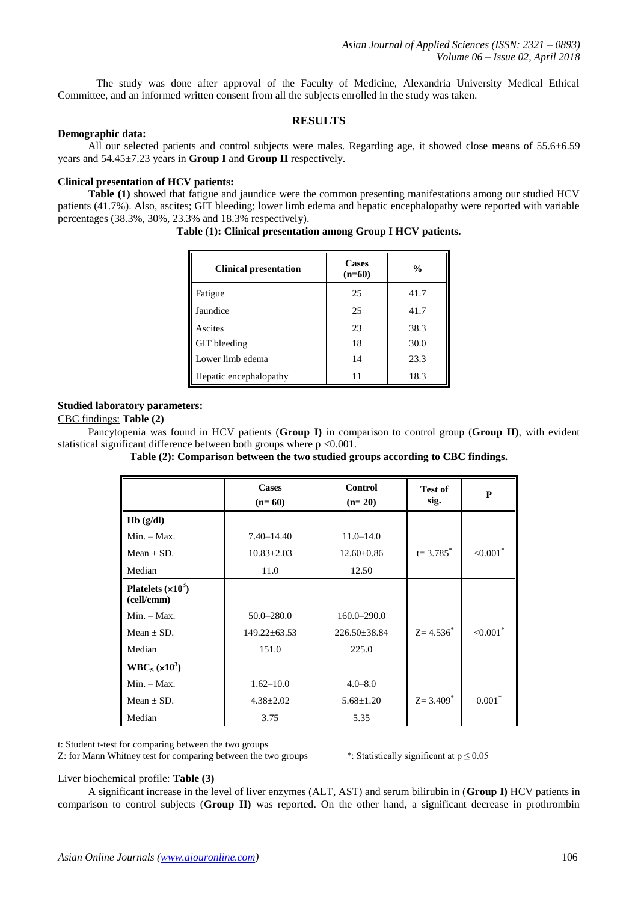The study was done after approval of the Faculty of Medicine, Alexandria University Medical Ethical Committee, and an informed written consent from all the subjects enrolled in the study was taken.

## **RESULTS**

#### **Demographic data:**

All our selected patients and control subjects were males. Regarding age, it showed close means of 55.6 $\pm$ 6.59 years and 54.45±7.23 years in **Group I** and **Group II** respectively.

## **Clinical presentation of HCV patients:**

**Table (1)** showed that fatigue and jaundice were the common presenting manifestations among our studied HCV patients (41.7%). Also, ascites; GIT bleeding; lower limb edema and hepatic encephalopathy were reported with variable percentages  $(38.3\%, 30\%, 23.3\%$  and  $18.3\%$  respectively).

| <b>Clinical presentation</b> | <b>Cases</b><br>$(n=60)$ | $\frac{0}{0}$ |
|------------------------------|--------------------------|---------------|
| Fatigue                      | 25                       | 41.7          |
| Jaundice                     | 25                       | 41.7          |
| Ascites                      | 23                       | 38.3          |
| GIT bleeding                 | 18                       | 30.0          |
| Lower limb edema             | 14                       | 23.3          |
| Hepatic encephalopathy       | 11                       | 18.3          |

**Table (1): Clinical presentation among Group I HCV patients.**

### **Studied laboratory parameters:**

#### CBC findings: **Table (2)**

Pancytopenia was found in HCV patients (**Group I)** in comparison to control group (**Group II)**, with evident statistical significant difference between both groups where  $p \le 0.001$ .

**Table (2): Comparison between the two studied groups according to CBC findings.**

|                                   | <b>Cases</b><br>$(n=60)$ | <b>Control</b><br>$(n=20)$ | <b>Test of</b><br>sig.   | P                       |
|-----------------------------------|--------------------------|----------------------------|--------------------------|-------------------------|
| Hb(g/dl)                          |                          |                            |                          |                         |
| $Min. - Max.$                     | $7.40 - 14.40$           | $11.0 - 14.0$              |                          |                         |
| $Mean + SD$ .                     | $10.83 \pm 2.03$         | $12.60 \pm 0.86$           | $t = 3.785^*$            | $< 0.001$ <sup>*</sup>  |
| Median                            | 11.0                     | 12.50                      |                          |                         |
| Platelets $(x10^3)$<br>(cell/cmm) |                          |                            |                          |                         |
| $Min. - Max.$                     | $50.0 - 280.0$           | $160.0 - 290.0$            |                          |                         |
| Mean $\pm$ SD.                    | $149.22 \pm 63.53$       | $226.50 \pm 38.84$         | $Z = 4.536^*$            | ${<}0.001$ <sup>*</sup> |
| Median                            | 151.0                    | 225.0                      |                          |                         |
| $WBC_S (x10^3)$                   |                          |                            |                          |                         |
| $Min. - Max.$                     | $1.62 - 10.0$            | $4.0 - 8.0$                |                          |                         |
| Mean $\pm$ SD.                    | $4.38 \pm 2.02$          | $5.68 \pm 1.20$            | $Z = 3.409$ <sup>*</sup> | $0.001*$                |
| Median                            | 3.75                     | 5.35                       |                          |                         |

t: Student t-test for comparing between the two groups

Z: for Mann Whitney test for comparing between the two groups \*: Statistically significant at  $p \le 0.05$ 

#### Liver biochemical profile: **Table (3)**

A significant increase in the level of liver enzymes (ALT, AST) and serum bilirubin in (**Group I)** HCV patients in comparison to control subjects (**Group II)** was reported. On the other hand, a significant decrease in prothrombin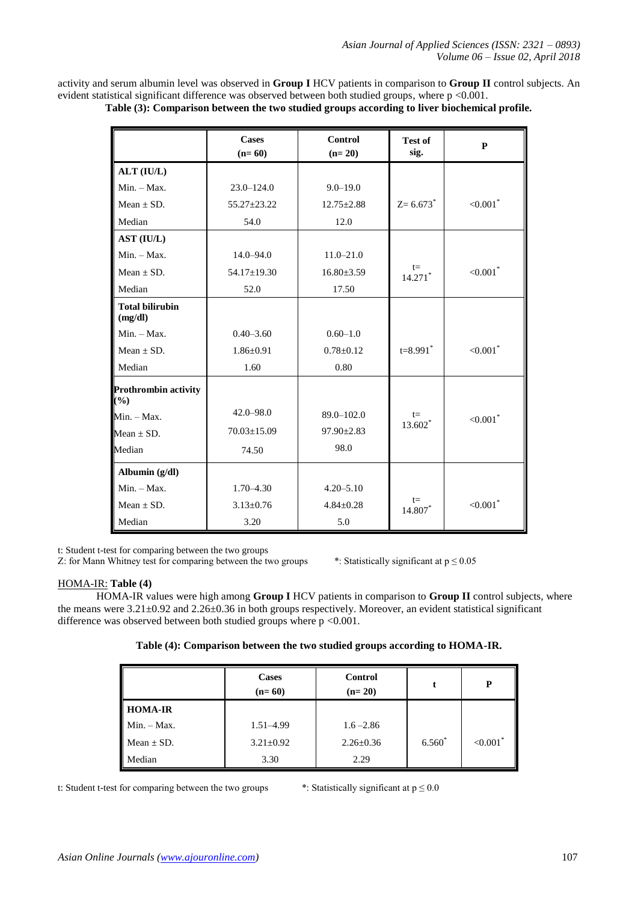activity and serum albumin level was observed in **Group I** HCV patients in comparison to **Group II** control subjects. An evident statistical significant difference was observed between both studied groups, where p <0.001.

| Table (3): Comparison between the two studied groups according to liver biochemical profile. |
|----------------------------------------------------------------------------------------------|
|----------------------------------------------------------------------------------------------|

|                                                             | <b>Cases</b><br>$(n=60)$ | <b>Control</b><br>$(n=20)$ | <b>Test of</b><br>sig. | P                       |
|-------------------------------------------------------------|--------------------------|----------------------------|------------------------|-------------------------|
| ALT (IU/L)                                                  |                          |                            |                        |                         |
| $Min. - Max.$                                               | $23.0 - 124.0$           | $9.0 - 19.0$               |                        |                         |
| Mean $\pm$ SD.                                              | $55.27 \pm 23.22$        | $12.75 \pm 2.88$           | $Z = 6.673$            | $< 0.001$ <sup>*</sup>  |
| Median                                                      | 54.0                     | 12.0                       |                        |                         |
| AST (IU/L)                                                  |                          |                            |                        |                         |
| Min. - Max.                                                 | $14.0 - 94.0$            | $11.0 - 21.0$              |                        |                         |
| Mean $\pm$ SD.                                              | 54.17±19.30              | $16.80 \pm 3.59$           | $t =$<br>14.271*       | ${<}0.001$ <sup>*</sup> |
| Median                                                      | 52.0                     | 17.50                      |                        |                         |
| <b>Total bilirubin</b><br>(mg/dl)                           |                          |                            |                        |                         |
| $Min. - Max.$                                               | $0.40 - 3.60$            | $0.60 - 1.0$               |                        |                         |
| Mean $\pm$ SD.                                              | $1.86 \pm 0.91$          | $0.78 \pm 0.12$            | $t = 8.991$ *          | ${<}0.001$ <sup>*</sup> |
| Median                                                      | 1.60                     | 0.80                       |                        |                         |
| <b>Prothrombin activity</b><br>$\left( \frac{0}{0} \right)$ |                          |                            |                        |                         |
| $Min. - Max.$                                               | $42.0 - 98.0$            | $89.0 - 102.0$             | $t =$                  | ${<}0.001$ <sup>*</sup> |
| Mean $\pm$ SD.                                              | $70.03 \pm 15.09$        | $97.90 \pm 2.83$           | 13.602 <sup>*</sup>    |                         |
| Median                                                      | 74.50                    | 98.0                       |                        |                         |
| Albumin (g/dl)                                              |                          |                            |                        |                         |
| $Min. - Max.$                                               | $1.70 - 4.30$            | $4.20 - 5.10$              |                        |                         |
| Mean $\pm$ SD.                                              | $3.13 \pm 0.76$          | $4.84 \pm 0.28$            | $t =$<br>14.807*       | ${<}0.001$ <sup>*</sup> |
| Median                                                      | 3.20                     | 5.0                        |                        |                         |

t: Student t-test for comparing between the two groups

Z: for Mann Whitney test for comparing between the two groups \*: Statistically significant at  $p \le 0.05$ 

#### HOMA-IR: **Table (4)**

HOMA-IR values were high among **Group I** HCV patients in comparison to **Group II** control subjects, where the means were 3.21±0.92 and 2.26±0.36 in both groups respectively. Moreover, an evident statistical significant difference was observed between both studied groups where  $p \le 0.001$ .

|  | Table (4): Comparison between the two studied groups according to HOMA-IR. |  |  |  |  |
|--|----------------------------------------------------------------------------|--|--|--|--|
|  |                                                                            |  |  |  |  |

|                | <b>Cases</b><br>$(n=60)$ | Control<br>$(n=20)$ | t        | P                       |
|----------------|--------------------------|---------------------|----------|-------------------------|
| <b>HOMA-IR</b> |                          |                     |          |                         |
| $Min. - Max.$  | $1.51 - 4.99$            | $1.6 - 2.86$        |          |                         |
| Mean $\pm$ SD. | $3.21 \pm 0.92$          | $2.26 \pm 0.36$     | $6.560*$ | ${<}0.001$ <sup>*</sup> |
| Median         | 3.30                     | 2.29                |          |                         |

t: Student t-test for comparing between the two groups \*: Statistically significant at  $p \le 0.0$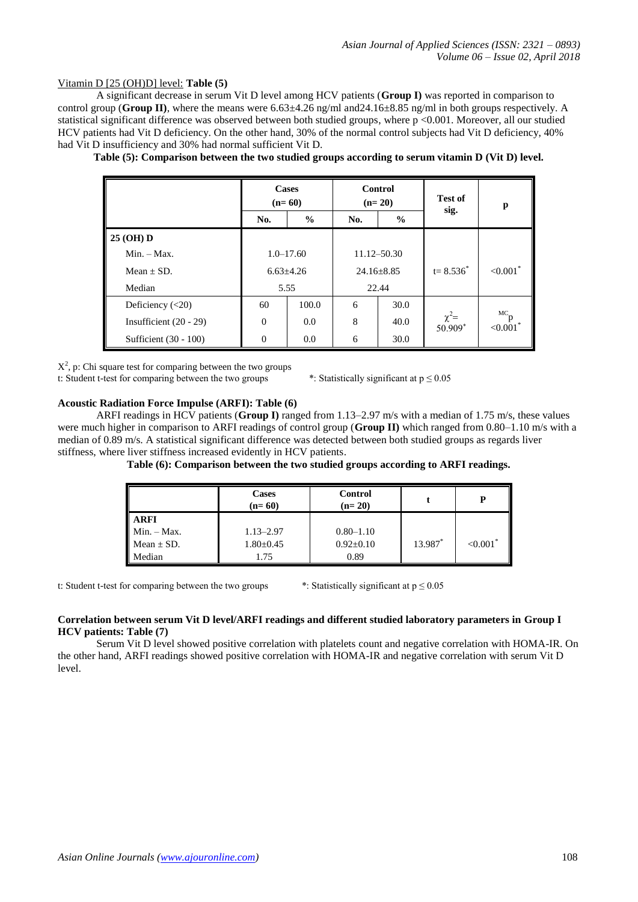#### Vitamin D [25 (OH)D] level: **Table (5)**

A significant decrease in serum Vit D level among HCV patients (**Group I)** was reported in comparison to control group (**Group II**), where the means were  $6.63\pm4.26$  ng/ml and  $24.16\pm8.85$  ng/ml in both groups respectively. A statistical significant difference was observed between both studied groups, where p <0.001. Moreover, all our studied HCV patients had Vit D deficiency. On the other hand, 30% of the normal control subjects had Vit D deficiency, 40% had Vit D insufficiency and 30% had normal sufficient Vit D.

|                          | <b>Cases</b><br>$(n=60)$ |               | <b>Control</b><br>$(n=20)$ |                  | <b>Test of</b>        | p                                       |
|--------------------------|--------------------------|---------------|----------------------------|------------------|-----------------------|-----------------------------------------|
|                          | No.                      | $\%$          | No.                        | $\frac{0}{0}$    | sig.                  |                                         |
| 25 (OH) D                |                          |               |                            |                  |                       |                                         |
| $Min. - Max.$            |                          | $1.0 - 17.60$ |                            | 11.12-50.30      |                       |                                         |
| Mean $\pm$ SD.           | $6.63{\pm}4.26$          |               |                            | $24.16 \pm 8.85$ | $t = 8.536^*$         | ${<}0.001$ *                            |
| Median                   | 5.55                     |               | 22.44                      |                  |                       |                                         |
| Deficiency $(<20)$       | 60                       | 100.0         | 6                          | 30.0             |                       |                                         |
| Insufficient $(20 - 29)$ | $\Omega$                 | 0.0           | 8                          | 40.0             | $\chi^2$ =<br>50.909* | ${}^{\mathrm{MC}}\mathsf{p}$<br>< 0.001 |
| Sufficient (30 - 100)    | $\Omega$                 | 0.0           | 6                          | 30.0             |                       |                                         |

**Table (5): Comparison between the two studied groups according to serum vitamin D (Vit D) level.**

 $X^2$ , p: Chi square test for comparing between the two groups

t: Student t-test for comparing between the two groups \*: Statistically significant at  $p \le 0.05$ 

#### **Acoustic Radiation Force Impulse (ARFI): Table (6)**

ARFI readings in HCV patients (**Group I)** ranged from 1.13–2.97 m/s with a median of 1.75 m/s, these values were much higher in comparison to ARFI readings of control group (**Group II)** which ranged from 0.80–1.10 m/s with a median of 0.89 m/s. A statistical significant difference was detected between both studied groups as regards liver stiffness, where liver stiffness increased evidently in HCV patients.

|                | <b>Cases</b><br>$(n=60)$ | Control<br>$(n=20)$ |         |                        |
|----------------|--------------------------|---------------------|---------|------------------------|
| <b>ARFI</b>    |                          |                     |         |                        |
| Min. - Max.    | $1.13 - 2.97$            | $0.80 - 1.10$       |         |                        |
| Mean $\pm$ SD. | $1.80 \pm 0.45$          | $0.92 \pm 0.10$     | 13.987* | $< 0.001$ <sup>*</sup> |
| Iedian         | l.75                     | 0.89                |         |                        |

t: Student t-test for comparing between the two groups \*: Statistically significant at  $p \le 0.05$ 

#### **Correlation between serum Vit D level/ARFI readings and different studied laboratory parameters in Group I HCV patients: Table (7)**

Serum Vit D level showed positive correlation with platelets count and negative correlation with HOMA-IR. On the other hand, ARFI readings showed positive correlation with HOMA-IR and negative correlation with serum Vit D level.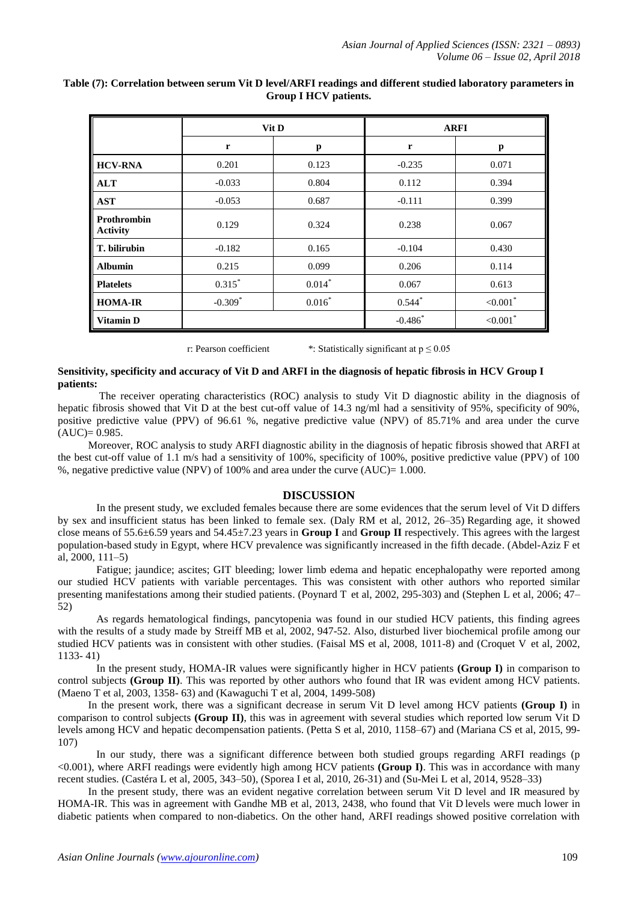|                                       |           | Vit D    |             | <b>ARFI</b>             |  |
|---------------------------------------|-----------|----------|-------------|-------------------------|--|
|                                       | r         | p        | $\mathbf r$ | p                       |  |
| <b>HCV-RNA</b>                        | 0.201     | 0.123    | $-0.235$    | 0.071                   |  |
| <b>ALT</b>                            | $-0.033$  | 0.804    | 0.112       | 0.394                   |  |
| <b>AST</b>                            | $-0.053$  | 0.687    | $-0.111$    | 0.399                   |  |
| <b>Prothrombin</b><br><b>Activity</b> | 0.129     | 0.324    | 0.238       | 0.067                   |  |
| T. bilirubin                          | $-0.182$  | 0.165    | $-0.104$    | 0.430                   |  |
| <b>Albumin</b>                        | 0.215     | 0.099    | 0.206       | 0.114                   |  |
| <b>Platelets</b>                      | $0.315*$  | $0.014*$ | 0.067       | 0.613                   |  |
| <b>HOMA-IR</b>                        | $-0.309*$ | $0.016*$ | $0.544*$    | ${<}0.001$ *            |  |
| <b>Vitamin D</b>                      |           |          | $-0.486*$   | ${<}0.001$ <sup>*</sup> |  |

#### **Table (7): Correlation between serum Vit D level/ARFI readings and different studied laboratory parameters in Group I HCV patients.**

r: Pearson coefficient \*: Statistically significant at  $p \le 0.05$ 

#### **Sensitivity, specificity and accuracy of Vit D and ARFI in the diagnosis of hepatic fibrosis in HCV Group I patients:**

The receiver operating characteristics (ROC) analysis to study Vit D diagnostic ability in the diagnosis of hepatic fibrosis showed that Vit D at the best cut-off value of 14.3 ng/ml had a sensitivity of 95%, specificity of 90%, positive predictive value (PPV) of 96.61 %, negative predictive value (NPV) of 85.71% and area under the curve  $(AUC)= 0.985.$ 

Moreover, ROC analysis to study ARFI diagnostic ability in the diagnosis of hepatic fibrosis showed that ARFI at the best cut-off value of 1.1 m/s had a sensitivity of 100%, specificity of 100%, positive predictive value (PPV) of 100 %, negative predictive value (NPV) of 100% and area under the curve (AUC)= 1.000.

## **DISCUSSION**

In the present study, we excluded females because there are some evidences that the serum level of Vit D differs by sex and insufficient status has been linked to female sex. (Daly RM et al, 2012, 26–35) Regarding age, it showed close means of 55.6±6.59 years and 54.45±7.23 years in **Group I** and **Group II** respectively. This agrees with the largest population-based study in Egypt, where HCV prevalence was significantly increased in the fifth decade. (Abdel-Aziz F et al, 2000, 111–5)

Fatigue; jaundice; ascites; GIT bleeding; lower limb edema and hepatic encephalopathy were reported among our studied HCV patients with variable percentages. This was consistent with other authors who reported similar presenting manifestations among their studied patients. [\(Poynard T](https://www.ncbi.nlm.nih.gov/pubmed/?term=Poynard%20T%5BAuthor%5D&cauthor=true&cauthor_uid=12081607) et al, 2002, 295-303) and [\(Stephen L et al,](https://www.ncbi.nlm.nih.gov/pubmed/?term=Chen%20SL%5BAuthor%5D&cauthor=true&cauthor_uid=16614742) 2006; 47– 52)

As regards hematological findings, pancytopenia was found in our studied HCV patients, this finding agrees with the results of a study made by Streiff MB et al, 2002, 947-52. Also, disturbed liver biochemical profile among our studied HCV patients was in consistent with other studies. (Faisal MS et al, 2008, 1011-8) and [\(Croquet V](https://www.ncbi.nlm.nih.gov/pubmed/?term=Croquet%20V%5BAuthor%5D&cauthor=true&cauthor_uid=12362105) et al, 2002, 1133- 41)

In the present study, HOMA-IR values were significantly higher in HCV patients **(Group I)** in comparison to control subjects **(Group II)**. This was reported by other authors who found that IR was evident among HCV patients. (Maeno T et al, 2003, 1358- 63) and [\(Kawaguchi T](https://www.ncbi.nlm.nih.gov/pubmed/?term=Kawaguchi%20T%5BAuthor%5D&cauthor=true&cauthor_uid=15509521) et al, 2004, 1499-508)

In the present work, there was a significant decrease in serum Vit D level among HCV patients **(Group I)** in comparison to control subjects **(Group II)**, this was in agreement with several studies which reported low serum Vit D levels among HCV and hepatic decompensation patients. (Petta S et al, 2010, 1158–67) and (Mariana CS et al, 2015, 99- 107)

In our study, there was a significant difference between both studied groups regarding ARFI readings (p <0.001), where ARFI readings were evidently high among HCV patients **(Group I)**. This was in accordance with many recent studies. (Castéra L et al, 2005, 343–50), (Sporea I et al, 2010, 26-31) and [\(Su-Mei L](https://www.ncbi.nlm.nih.gov/pubmed/?term=Li%20SM%5BAuthor%5D&cauthor=true&cauthor_uid=25071348) et al, 2014, 9528–33)

In the present study, there was an evident negative correlation between serum Vit D level and IR measured by HOMA-IR. This was in agreement with Gandhe MB et al, 2013, 2438, who found that Vit D levels were much lower in diabetic patients when compared to non-diabetics. On the other hand, ARFI readings showed positive correlation with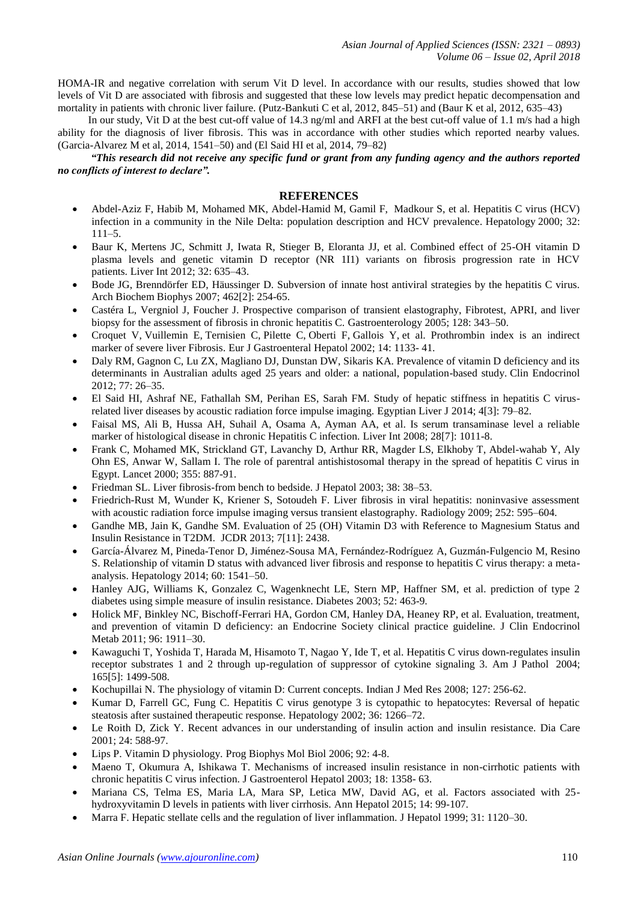HOMA-IR and negative correlation with serum Vit D level. In accordance with our results, studies showed that low levels of Vit D are associated with fibrosis and suggested that these low levels may predict hepatic decompensation and mortality in patients with chronic liver failure. (Putz-Bankuti C et al, 2012, 845–51) and (Baur K et al, 2012, 635–43)

In our study, Vit D at the best cut-off value of 14.3 ng/ml and ARFI at the best cut-off value of 1.1 m/s had a high ability for the diagnosis of liver fibrosis. This was in accordance with other studies which reported nearby values. (Garcia-Alvarez M et al, 2014, 1541–50) and (El Said HI et al, 2014[, 79–82](http://journals.lww.com/eglj/toc/2014/07000))

*"This research did not receive any specific fund or grant from any funding agency and the authors reported no conflicts of interest to declare".*

#### **REFERENCES**

- Abdel-Aziz F, Habib M, Mohamed MK, Abdel-Hamid M, Gamil F, [Madkour S,](https://www.ncbi.nlm.nih.gov/pubmed/?term=Madkour%20S%5BAuthor%5D&cauthor=true&cauthor_uid=10869297) et al. Hepatitis C virus (HCV) infection in a community in the Nile Delta: population description and HCV prevalence. Hepatology 2000; 32: 111–5.
- Baur K, Mertens JC, Schmitt J, Iwata R, Stieger B, Eloranta JJ, et al. Combined effect of 25-OH vitamin D plasma levels and genetic vitamin D receptor (NR 1I1) variants on fibrosis progression rate in HCV patients. Liver Int 2012; 32: 635–43.
- [Bode JG,](https://www.ncbi.nlm.nih.gov/pubmed/?term=Bode%20JG%5BAuthor%5D&cauthor=true&cauthor_uid=17467654) [Brenndörfer ED,](https://www.ncbi.nlm.nih.gov/pubmed/?term=Brennd%C3%B6rfer%20ED%5BAuthor%5D&cauthor=true&cauthor_uid=17467654) [Häussinger D.](https://www.ncbi.nlm.nih.gov/pubmed/?term=H%C3%A4ussinger%20D%5BAuthor%5D&cauthor=true&cauthor_uid=17467654) Subversion of innate host antiviral strategies by the hepatitis C virus. [Arch Biochem Biophys](https://www.ncbi.nlm.nih.gov/pubmed?term=since+its+discovery+in+1989,+hcv+has+been+recognized+as+a+major+cause+of+chronic+liver+disease+world+wide&cmd=DetailsSearch) 2007; 462[2]: 254-65.
- Castéra L, Vergniol J, Foucher J. Prospective comparison of transient elastography, Fibrotest, APRI, and liver biopsy for the assessment of fibrosis in chronic hepatitis C. Gastroenterology 2005; 128: 343–50.
- [Croquet V,](https://www.ncbi.nlm.nih.gov/pubmed/?term=Croquet%20V%5BAuthor%5D&cauthor=true&cauthor_uid=12362105) [Vuillemin E,](https://www.ncbi.nlm.nih.gov/pubmed/?term=Vuillemin%20E%5BAuthor%5D&cauthor=true&cauthor_uid=12362105) [Ternisien C,](https://www.ncbi.nlm.nih.gov/pubmed/?term=Ternisien%20C%5BAuthor%5D&cauthor=true&cauthor_uid=12362105) [Pilette C,](https://www.ncbi.nlm.nih.gov/pubmed/?term=Pilette%20C%5BAuthor%5D&cauthor=true&cauthor_uid=12362105) [Oberti F,](https://www.ncbi.nlm.nih.gov/pubmed/?term=Oberti%20F%5BAuthor%5D&cauthor=true&cauthor_uid=12362105) [Gallois Y,](https://www.ncbi.nlm.nih.gov/pubmed/?term=Gallois%20Y%5BAuthor%5D&cauthor=true&cauthor_uid=12362105) et al. Prothrombin index is an indirect marker of severe liver Fibrosis. Eur J Gastroenteral Hepatol 2002; 14: 1133- 41.
- Daly RM, Gagnon C, Lu ZX, Magliano DJ, Dunstan DW, Sikaris KA. Prevalence of vitamin D deficiency and its determinants in Australian adults aged 25 years and older: a national, population-based study. Clin Endocrinol 2012; 77: 26–35.
- El Said HI, Ashraf NE, Fathallah SM, Perihan ES, Sarah FM. Study of hepatic stiffness in hepatitis C virusrelated liver diseases by acoustic radiation force impulse imaging. Egyptian Liver J [2014; 4\[3\]: 79–82.](http://journals.lww.com/eglj/toc/2014/07000)
- Faisal MS, Ali B, Hussa AH, Suhail A, Osama A, Ayman AA, et al. Is serum transaminase level a reliable marker of histological disease in chronic Hepatitis C infection. Liver Int 2008; 28[7]: 1011-8.
- Frank C, Mohamed MK, Strickland GT, Lavanchy D, Arthur RR, Magder LS, Elkhoby T, Abdel-wahab Y, Aly Ohn ES, Anwar W, Sallam I. The role of parentral antishistosomal therapy in the spread of hepatitis C virus in Egypt. Lancet 2000; 355: 887-91.
- Friedman SL. Liver fibrosis-from bench to bedside. J Hepatol 2003; 38: 38–53.
- Friedrich-Rust M, Wunder K, Kriener S, Sotoudeh F. Liver fibrosis in viral hepatitis: noninvasive assessment with acoustic radiation force impulse imaging versus transient elastography. Radiology 2009; 252: 595–604.
- Gandhe MB, Jain K, Gandhe SM. Evaluation of 25 (OH) Vitamin D3 with Reference to Magnesium Status and Insulin Resistance in T2DM. JCDR 2013; 7[11]: 2438.
- [García-Álvarez M,](https://www.ncbi.nlm.nih.gov/pubmed/?term=Garc%C3%ADa-%C3%81lvarez%20M%5BAuthor%5D&cauthor=true&cauthor_uid=24975775) [Pineda-Tenor D,](https://www.ncbi.nlm.nih.gov/pubmed/?term=Pineda-Tenor%20D%5BAuthor%5D&cauthor=true&cauthor_uid=24975775) [Jiménez-Sousa MA,](https://www.ncbi.nlm.nih.gov/pubmed/?term=Jim%C3%A9nez-Sousa%20MA%5BAuthor%5D&cauthor=true&cauthor_uid=24975775) [Fernández-Rodríguez A,](https://www.ncbi.nlm.nih.gov/pubmed/?term=Fern%C3%A1ndez-Rodr%C3%ADguez%20A%5BAuthor%5D&cauthor=true&cauthor_uid=24975775) [Guzmán-Fulgencio M,](https://www.ncbi.nlm.nih.gov/pubmed/?term=Guzm%C3%A1n-Fulgencio%20M%5BAuthor%5D&cauthor=true&cauthor_uid=24975775) [Resino](https://www.ncbi.nlm.nih.gov/pubmed/?term=Resino%20S%5BAuthor%5D&cauthor=true&cauthor_uid=24975775)  [S.](https://www.ncbi.nlm.nih.gov/pubmed/?term=Resino%20S%5BAuthor%5D&cauthor=true&cauthor_uid=24975775) Relationship of vitamin D status with advanced liver fibrosis and response to hepatitis C virus therapy: a metaanalysis. Hepatology 2014; 60: 1541–50.
- Hanley AJG, Williams K, Gonzalez C, Wagenknecht LE, Stern MP, Haffner SM, et al. prediction of type 2 diabetes using simple measure of insulin resistance. Diabetes 2003; 52: 463-9.
- Holick MF, Binkley NC, Bischoff-Ferrari HA, Gordon CM, Hanley DA, Heaney RP, et al. Evaluation, treatment, and prevention of vitamin D deficiency: an Endocrine Society clinical practice guideline. J Clin Endocrinol Metab 2011; 96: 1911–30.
- [Kawaguchi T,](https://www.ncbi.nlm.nih.gov/pubmed/?term=Kawaguchi%20T%5BAuthor%5D&cauthor=true&cauthor_uid=15509521) [Yoshida T,](https://www.ncbi.nlm.nih.gov/pubmed/?term=Yoshida%20T%5BAuthor%5D&cauthor=true&cauthor_uid=15509521) [Harada M,](https://www.ncbi.nlm.nih.gov/pubmed/?term=Harada%20M%5BAuthor%5D&cauthor=true&cauthor_uid=15509521) [Hisamoto T,](https://www.ncbi.nlm.nih.gov/pubmed/?term=Hisamoto%20T%5BAuthor%5D&cauthor=true&cauthor_uid=15509521) [Nagao Y,](https://www.ncbi.nlm.nih.gov/pubmed/?term=Nagao%20Y%5BAuthor%5D&cauthor=true&cauthor_uid=15509521) [Ide T,](https://www.ncbi.nlm.nih.gov/pubmed/?term=Ide%20T%5BAuthor%5D&cauthor=true&cauthor_uid=15509521) et al. Hepatitis C virus down-regulates insulin receptor substrates 1 and 2 through up-regulation of suppressor of cytokine signaling 3. [Am J Pathol](https://www.ncbi.nlm.nih.gov/pubmed/?term=Hepatitis+C+virus+down-regulates+insulin+receptor+substrates+1+and+2+through+up-regulation+of+suppressor+of+cytokine+signaling+3) 2004; 165[5]: 1499-508.
- Kochupillai N. The physiology of vitamin D: Current concepts. Indian J Med Res 2008; 127: 256-62.
- Kumar D, Farrell GC, Fung C. Hepatitis C virus genotype 3 is cytopathic to hepatocytes: Reversal of hepatic steatosis after sustained therapeutic response. Hepatology 2002; 36: 1266–72.
- Le Roith D, Zick Y. Recent advances in our understanding of insulin action and insulin resistance. Dia Care 2001; 24: 588-97.
- Lips P. Vitamin D physiology. Prog Biophys Mol Biol 2006; 92: 4-8.
- Maeno T, Okumura A, Ishikawa T. Mechanisms of increased insulin resistance in non-cirrhotic patients with chronic hepatitis C virus infection. J Gastroenterol Hepatol 2003; 18: 1358- 63.
- Mariana CS, Telma ES, Maria LA, Mara SP, Letica MW, David AG, et al. Factors associated with 25 hydroxyvitamin D levels in patients with liver cirrhosis. Ann Hepatol 2015; 14: 99-107.
- Marra F. Hepatic stellate cells and the regulation of liver inflammation. J Hepatol 1999; 31: 1120–30.